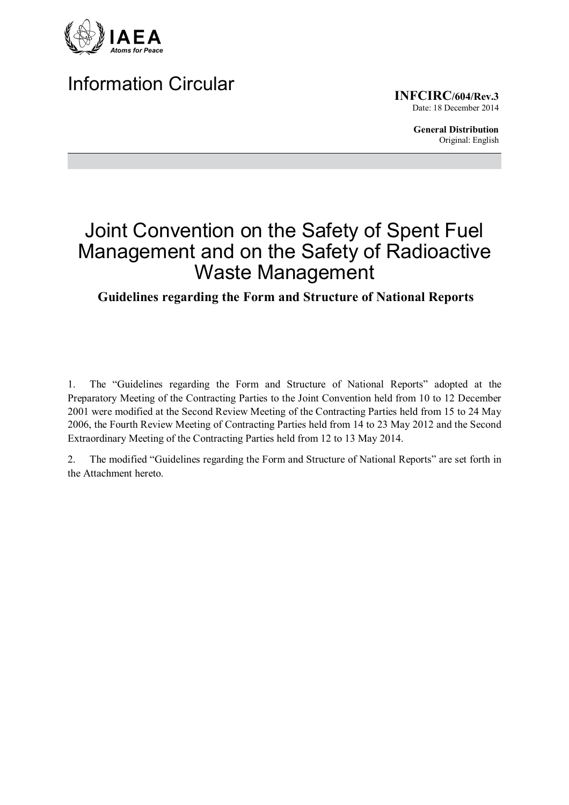

# Information Circular

**INFCIRC/604/Rev.3** Date: 18 December 2014

> **General Distribution** Original: English

# Joint Convention on the Safety of Spent Fuel Management and on the Safety of Radioactive Waste Management

## **Guidelines regarding the Form and Structure of National Reports**

1. The "Guidelines regarding the Form and Structure of National Reports" adopted at the Preparatory Meeting of the Contracting Parties to the Joint Convention held from 10 to 12 December 2001 were modified at the Second Review Meeting of the Contracting Parties held from 15 to 24 May 2006, the Fourth Review Meeting of Contracting Parties held from 14 to 23 May 2012 and the Second Extraordinary Meeting of the Contracting Parties held from 12 to 13 May 2014.

2. The modified "Guidelines regarding the Form and Structure of National Reports" are set forth in the Attachment hereto.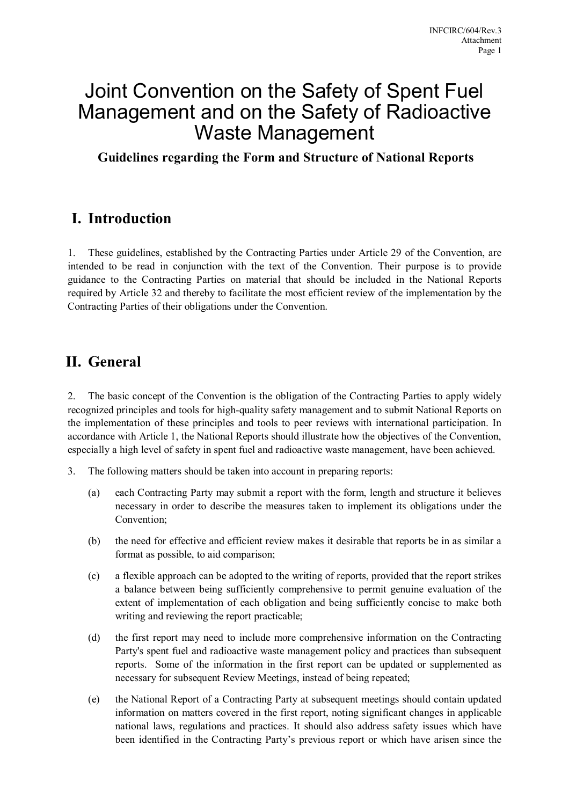# Joint Convention on the Safety of Spent Fuel Management and on the Safety of Radioactive Waste Management

**Guidelines regarding the Form and Structure of National Reports** 

## **I. Introduction**

1. These guidelines, established by the Contracting Parties under Article 29 of the Convention, are intended to be read in conjunction with the text of the Convention. Their purpose is to provide guidance to the Contracting Parties on material that should be included in the National Reports required by Article 32 and thereby to facilitate the most efficient review of the implementation by the Contracting Parties of their obligations under the Convention.

## **II. General**

2. The basic concept of the Convention is the obligation of the Contracting Parties to apply widely recognized principles and tools for high-quality safety management and to submit National Reports on the implementation of these principles and tools to peer reviews with international participation. In accordance with Article 1, the National Reports should illustrate how the objectives of the Convention, especially a high level of safety in spent fuel and radioactive waste management, have been achieved.

- 3. The following matters should be taken into account in preparing reports:
	- (a) each Contracting Party may submit a report with the form, length and structure it believes necessary in order to describe the measures taken to implement its obligations under the Convention;
	- (b) the need for effective and efficient review makes it desirable that reports be in as similar a format as possible, to aid comparison;
	- (c) a flexible approach can be adopted to the writing of reports, provided that the report strikes a balance between being sufficiently comprehensive to permit genuine evaluation of the extent of implementation of each obligation and being sufficiently concise to make both writing and reviewing the report practicable;
	- (d) the first report may need to include more comprehensive information on the Contracting Party's spent fuel and radioactive waste management policy and practices than subsequent reports. Some of the information in the first report can be updated or supplemented as necessary for subsequent Review Meetings, instead of being repeated;
	- (e) the National Report of a Contracting Party at subsequent meetings should contain updated information on matters covered in the first report, noting significant changes in applicable national laws, regulations and practices. It should also address safety issues which have been identified in the Contracting Party's previous report or which have arisen since the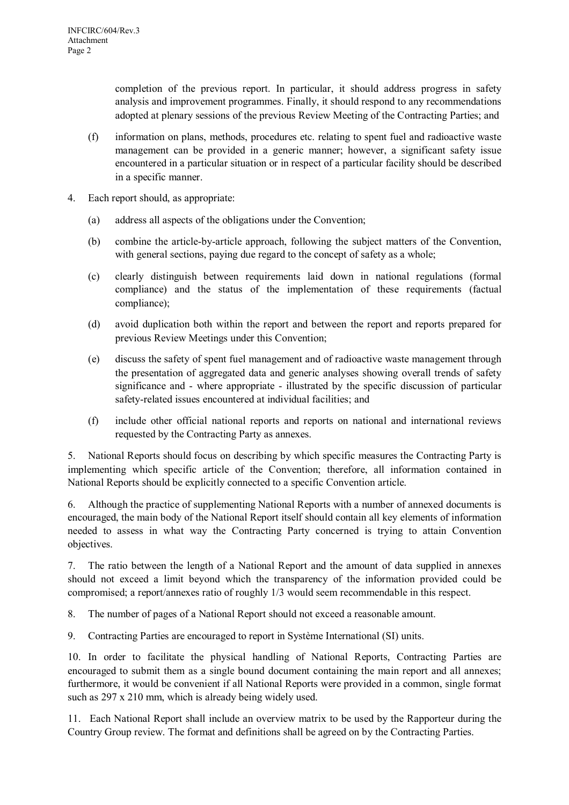completion of the previous report. In particular, it should address progress in safety analysis and improvement programmes. Finally, it should respond to any recommendations adopted at plenary sessions of the previous Review Meeting of the Contracting Parties; and

- (f) information on plans, methods, procedures etc. relating to spent fuel and radioactive waste management can be provided in a generic manner; however, a significant safety issue encountered in a particular situation or in respect of a particular facility should be described in a specific manner.
- 4. Each report should, as appropriate:
	- (a) address all aspects of the obligations under the Convention;
	- (b) combine the article-by-article approach, following the subject matters of the Convention, with general sections, paying due regard to the concept of safety as a whole;
	- (c) clearly distinguish between requirements laid down in national regulations (formal compliance) and the status of the implementation of these requirements (factual compliance);
	- (d) avoid duplication both within the report and between the report and reports prepared for previous Review Meetings under this Convention;
	- (e) discuss the safety of spent fuel management and of radioactive waste management through the presentation of aggregated data and generic analyses showing overall trends of safety significance and - where appropriate - illustrated by the specific discussion of particular safety-related issues encountered at individual facilities; and
	- (f) include other official national reports and reports on national and international reviews requested by the Contracting Party as annexes.

5. National Reports should focus on describing by which specific measures the Contracting Party is implementing which specific article of the Convention; therefore, all information contained in National Reports should be explicitly connected to a specific Convention article.

6. Although the practice of supplementing National Reports with a number of annexed documents is encouraged, the main body of the National Report itself should contain all key elements of information needed to assess in what way the Contracting Party concerned is trying to attain Convention objectives.

7. The ratio between the length of a National Report and the amount of data supplied in annexes should not exceed a limit beyond which the transparency of the information provided could be compromised; a report/annexes ratio of roughly 1/3 would seem recommendable in this respect.

8. The number of pages of a National Report should not exceed a reasonable amount.

9. Contracting Parties are encouraged to report in Système International (SI) units.

10. In order to facilitate the physical handling of National Reports, Contracting Parties are encouraged to submit them as a single bound document containing the main report and all annexes; furthermore, it would be convenient if all National Reports were provided in a common, single format such as 297 x 210 mm, which is already being widely used.

11. Each National Report shall include an overview matrix to be used by the Rapporteur during the Country Group review. The format and definitions shall be agreed on by the Contracting Parties.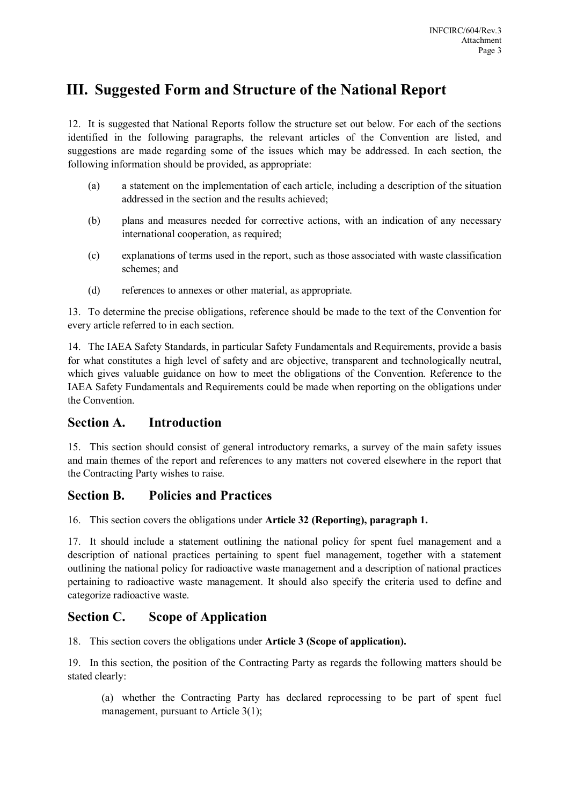## **III. Suggested Form and Structure of the National Report**

12. It is suggested that National Reports follow the structure set out below. For each of the sections identified in the following paragraphs, the relevant articles of the Convention are listed, and suggestions are made regarding some of the issues which may be addressed. In each section, the following information should be provided, as appropriate:

- (a) a statement on the implementation of each article, including a description of the situation addressed in the section and the results achieved;
- (b) plans and measures needed for corrective actions, with an indication of any necessary international cooperation, as required;
- (c) explanations of terms used in the report, such as those associated with waste classification schemes: and
- (d) references to annexes or other material, as appropriate.

13. To determine the precise obligations, reference should be made to the text of the Convention for every article referred to in each section.

14. The IAEA Safety Standards, in particular Safety Fundamentals and Requirements, provide a basis for what constitutes a high level of safety and are objective, transparent and technologically neutral, which gives valuable guidance on how to meet the obligations of the Convention. Reference to the IAEA Safety Fundamentals and Requirements could be made when reporting on the obligations under the Convention.

## **Section A. Introduction**

15. This section should consist of general introductory remarks, a survey of the main safety issues and main themes of the report and references to any matters not covered elsewhere in the report that the Contracting Party wishes to raise.

## **Section B. Policies and Practices**

16. This section covers the obligations under **Article 32 (Reporting), paragraph 1.**

17. It should include a statement outlining the national policy for spent fuel management and a description of national practices pertaining to spent fuel management, together with a statement outlining the national policy for radioactive waste management and a description of national practices pertaining to radioactive waste management. It should also specify the criteria used to define and categorize radioactive waste.

## **Section C. Scope of Application**

18. This section covers the obligations under **Article 3 (Scope of application).**

19. In this section, the position of the Contracting Party as regards the following matters should be stated clearly:

(a) whether the Contracting Party has declared reprocessing to be part of spent fuel management, pursuant to Article 3(1);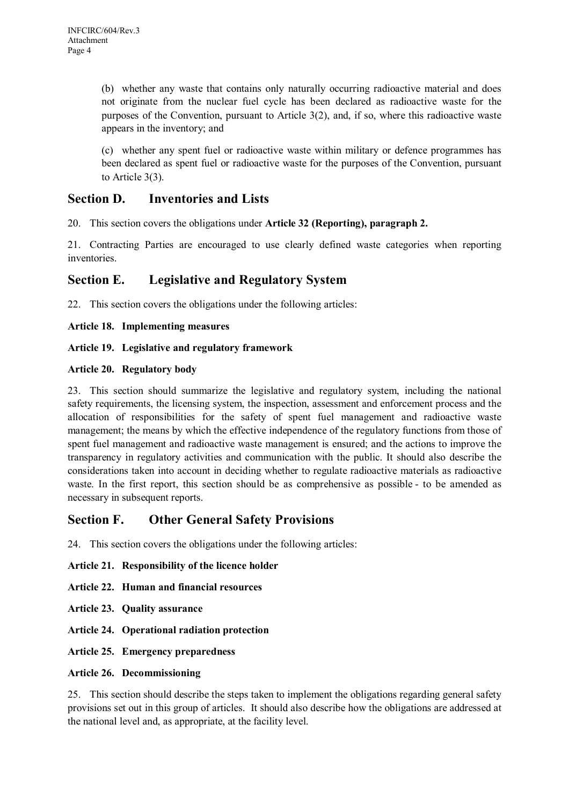(b) whether any waste that contains only naturally occurring radioactive material and does not originate from the nuclear fuel cycle has been declared as radioactive waste for the purposes of the Convention, pursuant to Article 3(2), and, if so, where this radioactive waste appears in the inventory; and

(c) whether any spent fuel or radioactive waste within military or defence programmes has been declared as spent fuel or radioactive waste for the purposes of the Convention, pursuant to Article 3(3).

## **Section D. Inventories and Lists**

20. This section covers the obligations under **Article 32 (Reporting), paragraph 2.**

21. Contracting Parties are encouraged to use clearly defined waste categories when reporting *inventories* 

## **Section E. Legislative and Regulatory System**

22. This section covers the obligations under the following articles:

#### **Article 18. Implementing measures**

#### **Article 19. Legislative and regulatory framework**

#### **Article 20. Regulatory body**

23. This section should summarize the legislative and regulatory system, including the national safety requirements, the licensing system, the inspection, assessment and enforcement process and the allocation of responsibilities for the safety of spent fuel management and radioactive waste management; the means by which the effective independence of the regulatory functions from those of spent fuel management and radioactive waste management is ensured; and the actions to improve the transparency in regulatory activities and communication with the public. It should also describe the considerations taken into account in deciding whether to regulate radioactive materials as radioactive waste. In the first report, this section should be as comprehensive as possible - to be amended as necessary in subsequent reports.

## **Section F. Other General Safety Provisions**

24. This section covers the obligations under the following articles:

#### **Article 21. Responsibility of the licence holder**

- **Article 22. Human and financial resources**
- **Article 23. Quality assurance**
- **Article 24. Operational radiation protection**
- **Article 25. Emergency preparedness**

#### **Article 26. Decommissioning**

25. This section should describe the steps taken to implement the obligations regarding general safety provisions set out in this group of articles. It should also describe how the obligations are addressed at the national level and, as appropriate, at the facility level.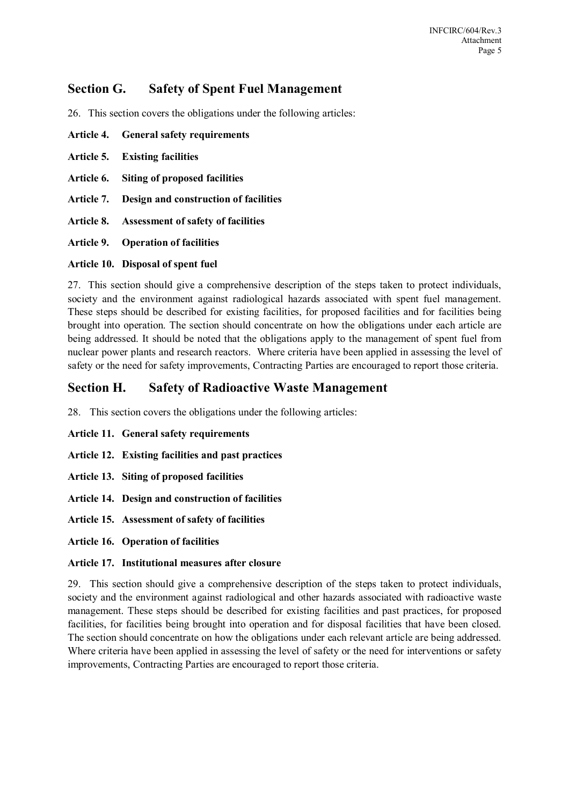## **Section G. Safety of Spent Fuel Management**

26. This section covers the obligations under the following articles:

- **Article 4. General safety requirements Article 5. Existing facilities Article 6. Siting of proposed facilities**
- 
- **Article 7. Design and construction of facilities**
- **Article 8. Assessment of safety of facilities**

**Article 9. Operation of facilities** 

#### **Article 10. Disposal of spent fuel**

27. This section should give a comprehensive description of the steps taken to protect individuals, society and the environment against radiological hazards associated with spent fuel management. These steps should be described for existing facilities, for proposed facilities and for facilities being brought into operation. The section should concentrate on how the obligations under each article are being addressed. It should be noted that the obligations apply to the management of spent fuel from nuclear power plants and research reactors. Where criteria have been applied in assessing the level of safety or the need for safety improvements, Contracting Parties are encouraged to report those criteria.

## **Section H. Safety of Radioactive Waste Management**

28. This section covers the obligations under the following articles:

- **Article 11. General safety requirements**
- **Article 12. Existing facilities and past practices**
- **Article 13. Siting of proposed facilities**
- **Article 14. Design and construction of facilities**
- **Article 15. Assessment of safety of facilities**
- **Article 16. Operation of facilities**

#### **Article 17. Institutional measures after closure**

29. This section should give a comprehensive description of the steps taken to protect individuals, society and the environment against radiological and other hazards associated with radioactive waste management. These steps should be described for existing facilities and past practices, for proposed facilities, for facilities being brought into operation and for disposal facilities that have been closed. The section should concentrate on how the obligations under each relevant article are being addressed. Where criteria have been applied in assessing the level of safety or the need for interventions or safety improvements, Contracting Parties are encouraged to report those criteria.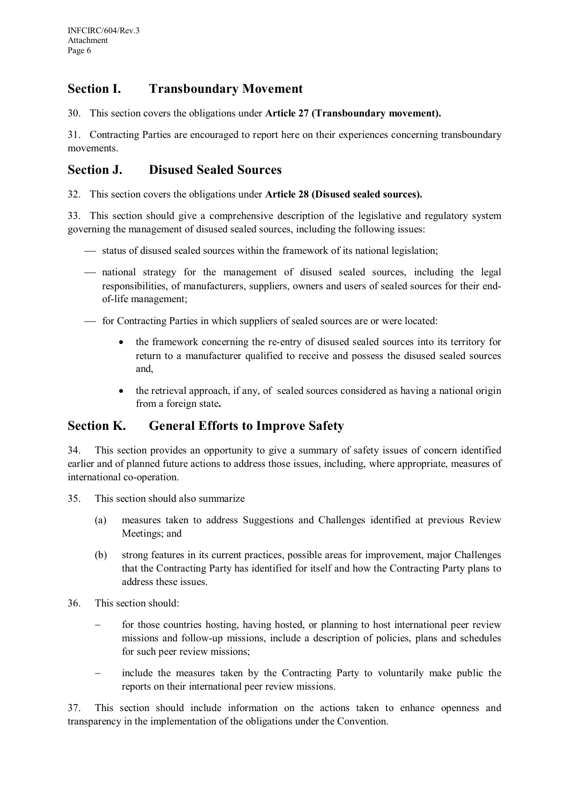## **Section I. Transboundary Movement**

30. This section covers the obligations under **Article 27 (Transboundary movement).**

31. Contracting Parties are encouraged to report here on their experiences concerning transboundary movements.

## **Section J. Disused Sealed Sources**

32. This section covers the obligations under **Article 28 (Disused sealed sources).**

33. This section should give a comprehensive description of the legislative and regulatory system governing the management of disused sealed sources, including the following issues:

- $-$  status of disused sealed sources within the framework of its national legislation;
- national strategy for the management of disused sealed sources, including the legal responsibilities, of manufacturers, suppliers, owners and users of sealed sources for their endof-life management;
- for Contracting Parties in which suppliers of sealed sources are or were located:
	- the framework concerning the re-entry of disused sealed sources into its territory for return to a manufacturer qualified to receive and possess the disused sealed sources and,
	- the retrieval approach, if any, of sealed sources considered as having a national origin from a foreign state**.**

## **Section K. General Efforts to Improve Safety**

34. This section provides an opportunity to give a summary of safety issues of concern identified earlier and of planned future actions to address those issues, including, where appropriate, measures of international co-operation.

- 35. This section should also summarize
	- (a) measures taken to address Suggestions and Challenges identified at previous Review Meetings; and
	- (b) strong features in its current practices, possible areas for improvement, major Challenges that the Contracting Party has identified for itself and how the Contracting Party plans to address these issues.
- 36. This section should:
	- − for those countries hosting, having hosted, or planning to host international peer review missions and follow-up missions, include a description of policies, plans and schedules for such peer review missions;
	- − include the measures taken by the Contracting Party to voluntarily make public the reports on their international peer review missions.

37. This section should include information on the actions taken to enhance openness and transparency in the implementation of the obligations under the Convention.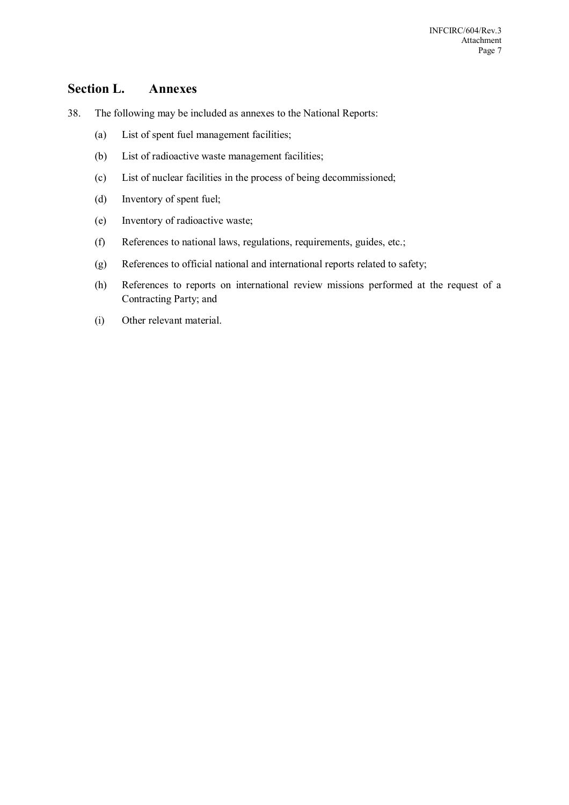### **Section L. Annexes**

- 38. The following may be included as annexes to the National Reports:
	- (a) List of spent fuel management facilities;
	- (b) List of radioactive waste management facilities;
	- (c) List of nuclear facilities in the process of being decommissioned;
	- (d) Inventory of spent fuel;
	- (e) Inventory of radioactive waste;
	- (f) References to national laws, regulations, requirements, guides, etc.;
	- (g) References to official national and international reports related to safety;
	- (h) References to reports on international review missions performed at the request of a Contracting Party; and
	- (i) Other relevant material.